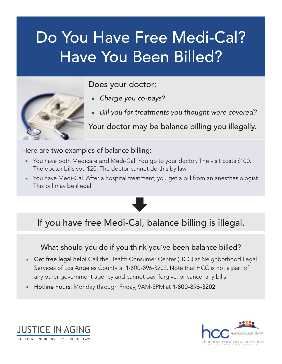# Do You Have Free Medi-Cal? Have You Been Billed?



Does your doctor:

- *Charge you co-pays?*
- Bill you for treatments you thought were covered?

Your doctor may be balance billing you illegally.

#### Here are two examples of balance billing:

- You have both Medicare and Medi-Cal. You go to your doctor. The visit costs \$100. The doctor bills you \$20. The doctor cannot do this by law.
- You have Medi-Cal. After a hospital treatment, you get a bill from an anesthesiologist. This bill may be illegal.



# If you have free Medi-Cal, balance billing is illegal.

### What should you do if you think you've been balance billed?

- **Get free legal help!** Call the Health Consumer Center (HCC) at Neighborhood Legal Services of Los Angeles County at 1-800-896-3202. Note that HCC is not a part of any other government agency and cannot pay, forgive, or cancel any bills.
- Hotline hours: Monday through Friday, 9AM-5PM at 1-800-896-3202